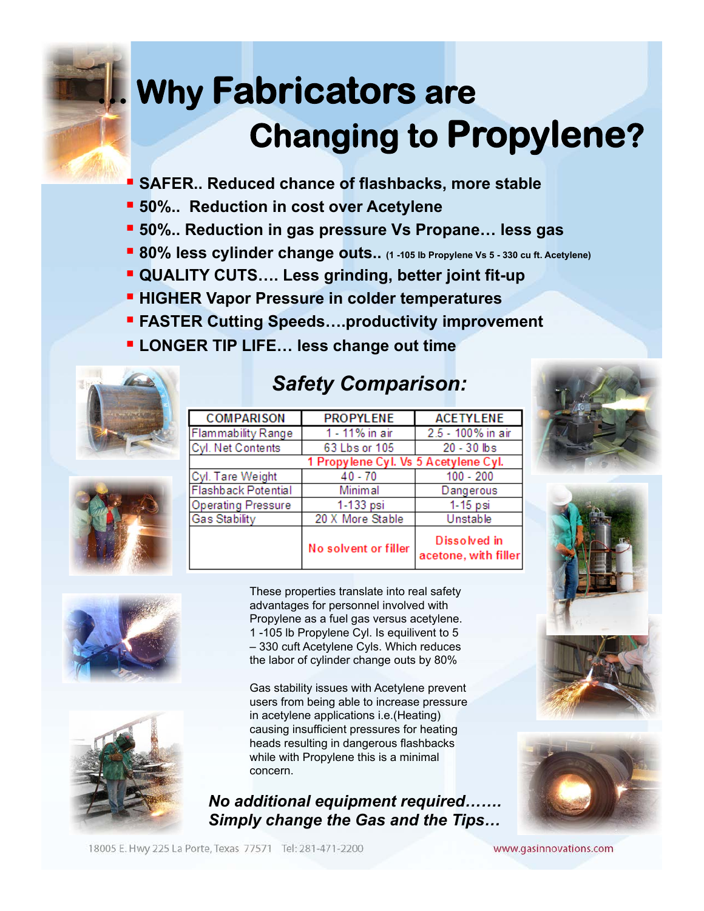## **M.** Why Fabricators are  **Changing to Propylene?**

- **SAFER.. Reduced chance of flashbacks, more stable**
- § **50%.. Reduction in cost over Acetylene**
- § **50%.. Reduction in gas pressure Vs Propane… less gas**
- 80% less cylinder change outs.. (1 -105 lb Propylene Vs 5 330 cu ft. Acetylene)
- § **QUALITY CUTS…. Less grinding, better joint fit-up**
- **<u>■ HIGHER Vapor Pressure in colder temperatures</u>**
- § **FASTER Cutting Speeds….productivity improvement**
- § **LONGER TIP LIFE… less change out time**





## *Safety Comparison:*







These properties translate into real safety advantages for personnel involved with Propylene as a fuel gas versus acetylene. 1 -105 lb Propylene Cyl. Is equilivent to 5 – 330 cuft Acetylene Cyls. Which reduces the labor of cylinder change outs by 80%

Gas stability issues with Acetylene prevent users from being able to increase pressure in acetylene applications i.e.(Heating) causing insufficient pressures for heating heads resulting in dangerous flashbacks while with Propylene this is a minimal concern.

*No additional equipment required……. Simply change the Gas and the Tips…*







18005 E. Hwy 225 La Porte, Texas 77571 Tel: 281-471-2200

www.gasinnovations.com